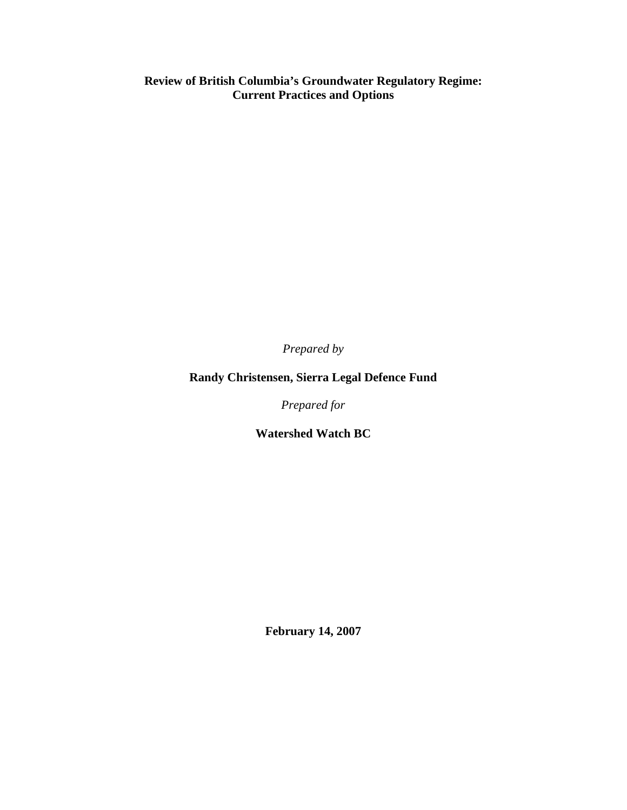**Review of British Columbia's Groundwater Regulatory Regime: Current Practices and Options** 

*Prepared by* 

# **Randy Christensen, Sierra Legal Defence Fund**

*Prepared for* 

**Watershed Watch BC** 

**February 14, 2007**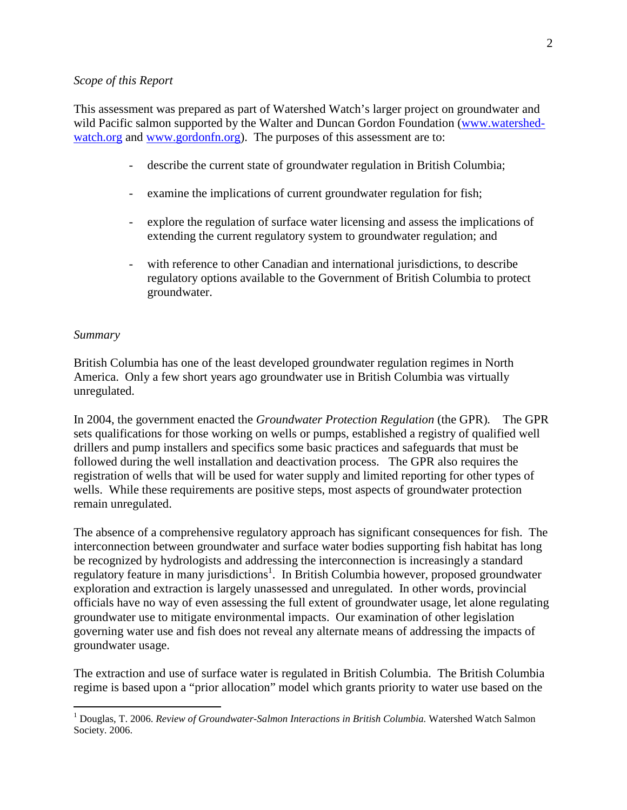#### *Scope of this Report*

This assessment was prepared as part of Watershed Watch's larger project on groundwater and wild Pacific salmon supported by the Walter and Duncan Gordon Foundation (www.watershedwatch.org and www.gordonfn.org). The purposes of this assessment are to:

- describe the current state of groundwater regulation in British Columbia;
- examine the implications of current groundwater regulation for fish;
- explore the regulation of surface water licensing and assess the implications of extending the current regulatory system to groundwater regulation; and
- with reference to other Canadian and international jurisdictions, to describe regulatory options available to the Government of British Columbia to protect groundwater.

#### *Summary*

 $\overline{a}$ 

British Columbia has one of the least developed groundwater regulation regimes in North America. Only a few short years ago groundwater use in British Columbia was virtually unregulated.

In 2004, the government enacted the *Groundwater Protection Regulation* (the GPR)*.* The GPR sets qualifications for those working on wells or pumps, established a registry of qualified well drillers and pump installers and specifics some basic practices and safeguards that must be followed during the well installation and deactivation process. The GPR also requires the registration of wells that will be used for water supply and limited reporting for other types of wells. While these requirements are positive steps, most aspects of groundwater protection remain unregulated.

The absence of a comprehensive regulatory approach has significant consequences for fish. The interconnection between groundwater and surface water bodies supporting fish habitat has long be recognized by hydrologists and addressing the interconnection is increasingly a standard regulatory feature in many jurisdictions<sup>1</sup>. In British Columbia however, proposed groundwater exploration and extraction is largely unassessed and unregulated. In other words, provincial officials have no way of even assessing the full extent of groundwater usage, let alone regulating groundwater use to mitigate environmental impacts. Our examination of other legislation governing water use and fish does not reveal any alternate means of addressing the impacts of groundwater usage.

The extraction and use of surface water is regulated in British Columbia. The British Columbia regime is based upon a "prior allocation" model which grants priority to water use based on the

<sup>&</sup>lt;sup>1</sup> Douglas, T. 2006. *Review of Groundwater-Salmon Interactions in British Columbia*. Watershed Watch Salmon Society. 2006.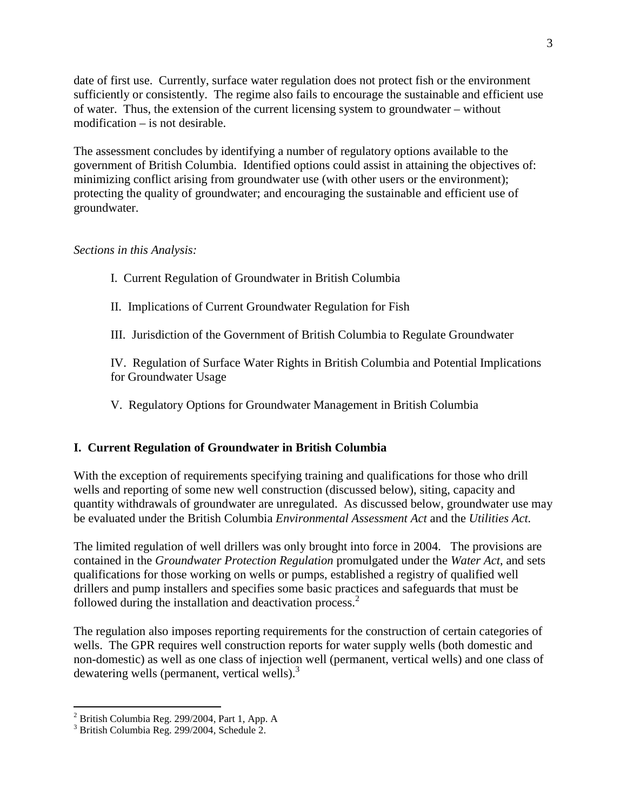date of first use. Currently, surface water regulation does not protect fish or the environment sufficiently or consistently. The regime also fails to encourage the sustainable and efficient use of water. Thus, the extension of the current licensing system to groundwater – without modification – is not desirable.

The assessment concludes by identifying a number of regulatory options available to the government of British Columbia. Identified options could assist in attaining the objectives of: minimizing conflict arising from groundwater use (with other users or the environment); protecting the quality of groundwater; and encouraging the sustainable and efficient use of groundwater.

## *Sections in this Analysis:*

- I. Current Regulation of Groundwater in British Columbia
- II. Implications of Current Groundwater Regulation for Fish
- III. Jurisdiction of the Government of British Columbia to Regulate Groundwater

IV. Regulation of Surface Water Rights in British Columbia and Potential Implications for Groundwater Usage

V. Regulatory Options for Groundwater Management in British Columbia

## **I. Current Regulation of Groundwater in British Columbia**

With the exception of requirements specifying training and qualifications for those who drill wells and reporting of some new well construction (discussed below), siting, capacity and quantity withdrawals of groundwater are unregulated. As discussed below, groundwater use may be evaluated under the British Columbia *Environmental Assessment Act* and the *Utilities Act.*

The limited regulation of well drillers was only brought into force in 2004. The provisions are contained in the *Groundwater Protection Regulation* promulgated under the *Water Act*, and sets qualifications for those working on wells or pumps, established a registry of qualified well drillers and pump installers and specifies some basic practices and safeguards that must be followed during the installation and deactivation process.<sup>2</sup>

The regulation also imposes reporting requirements for the construction of certain categories of wells. The GPR requires well construction reports for water supply wells (both domestic and non-domestic) as well as one class of injection well (permanent, vertical wells) and one class of dewatering wells (permanent, vertical wells).<sup>3</sup>

 2 British Columbia Reg. 299/2004, Part 1, App. A

<sup>3</sup> British Columbia Reg. 299/2004, Schedule 2.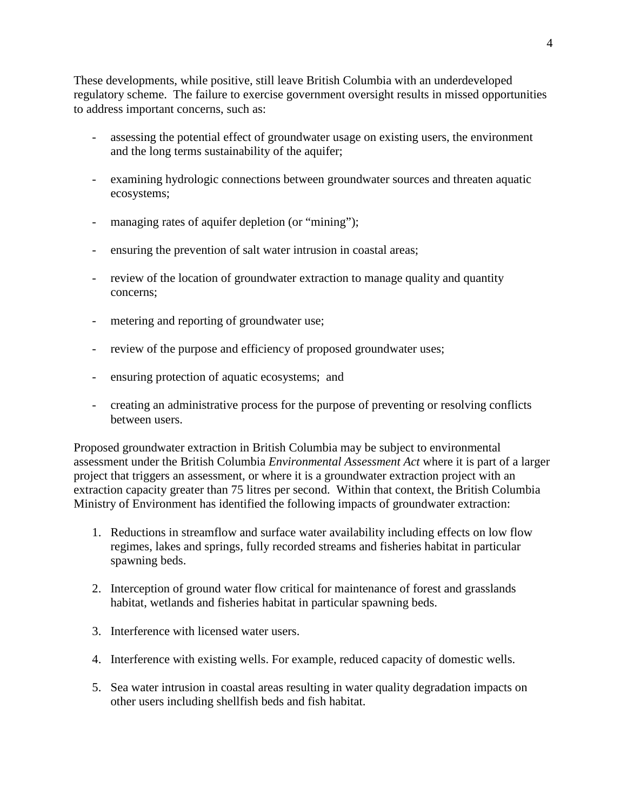These developments, while positive, still leave British Columbia with an underdeveloped regulatory scheme. The failure to exercise government oversight results in missed opportunities to address important concerns, such as:

- assessing the potential effect of groundwater usage on existing users, the environment and the long terms sustainability of the aquifer;
- examining hydrologic connections between groundwater sources and threaten aquatic ecosystems;
- managing rates of aquifer depletion (or "mining");
- ensuring the prevention of salt water intrusion in coastal areas;
- review of the location of groundwater extraction to manage quality and quantity concerns;
- metering and reporting of groundwater use;
- review of the purpose and efficiency of proposed groundwater uses;
- ensuring protection of aquatic ecosystems; and
- creating an administrative process for the purpose of preventing or resolving conflicts between users.

Proposed groundwater extraction in British Columbia may be subject to environmental assessment under the British Columbia *Environmental Assessment Act* where it is part of a larger project that triggers an assessment, or where it is a groundwater extraction project with an extraction capacity greater than 75 litres per second. Within that context, the British Columbia Ministry of Environment has identified the following impacts of groundwater extraction:

- 1. Reductions in streamflow and surface water availability including effects on low flow regimes, lakes and springs, fully recorded streams and fisheries habitat in particular spawning beds.
- 2. Interception of ground water flow critical for maintenance of forest and grasslands habitat, wetlands and fisheries habitat in particular spawning beds.
- 3. Interference with licensed water users.
- 4. Interference with existing wells. For example, reduced capacity of domestic wells.
- 5. Sea water intrusion in coastal areas resulting in water quality degradation impacts on other users including shellfish beds and fish habitat.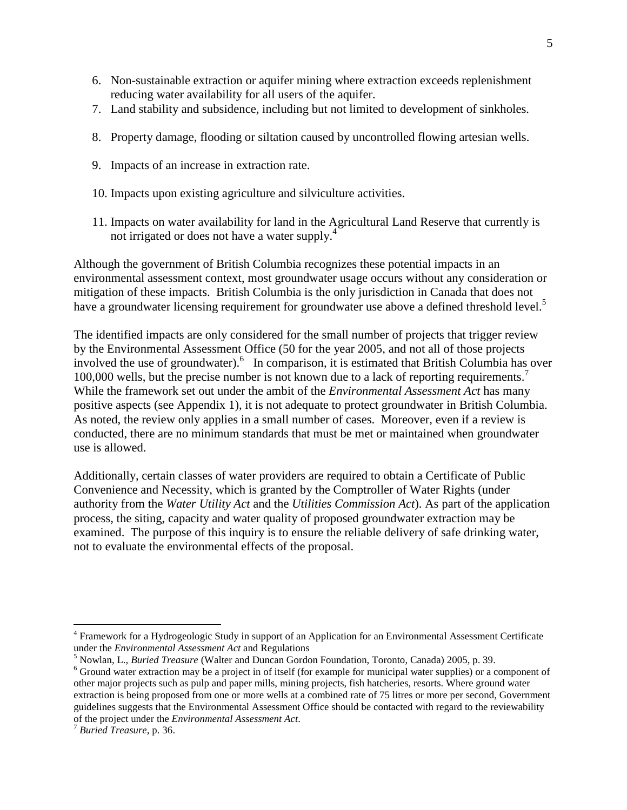- 6. Non-sustainable extraction or aquifer mining where extraction exceeds replenishment reducing water availability for all users of the aquifer.
- 7. Land stability and subsidence, including but not limited to development of sinkholes.
- 8. Property damage, flooding or siltation caused by uncontrolled flowing artesian wells.
- 9. Impacts of an increase in extraction rate.
- 10. Impacts upon existing agriculture and silviculture activities.
- 11. Impacts on water availability for land in the Agricultural Land Reserve that currently is not irrigated or does not have a water supply.<sup>4</sup>

Although the government of British Columbia recognizes these potential impacts in an environmental assessment context, most groundwater usage occurs without any consideration or mitigation of these impacts. British Columbia is the only jurisdiction in Canada that does not have a groundwater licensing requirement for groundwater use above a defined threshold level.<sup>5</sup>

The identified impacts are only considered for the small number of projects that trigger review by the Environmental Assessment Office (50 for the year 2005, and not all of those projects involved the use of groundwater). <sup>6</sup> In comparison, it is estimated that British Columbia has over 100,000 wells, but the precise number is not known due to a lack of reporting requirements.<sup>7</sup> While the framework set out under the ambit of the *Environmental Assessment Act* has many positive aspects (see Appendix 1), it is not adequate to protect groundwater in British Columbia. As noted, the review only applies in a small number of cases. Moreover, even if a review is conducted, there are no minimum standards that must be met or maintained when groundwater use is allowed.

Additionally, certain classes of water providers are required to obtain a Certificate of Public Convenience and Necessity, which is granted by the Comptroller of Water Rights (under authority from the *Water Utility Act* and the *Utilities Commission Act*). As part of the application process, the siting, capacity and water quality of proposed groundwater extraction may be examined. The purpose of this inquiry is to ensure the reliable delivery of safe drinking water, not to evaluate the environmental effects of the proposal.

<u>.</u>

<sup>&</sup>lt;sup>4</sup> Framework for a Hydrogeologic Study in support of an Application for an Environmental Assessment Certificate under the *Environmental Assessment Act* and Regulations

<sup>5</sup> Nowlan, L., *Buried Treasure* (Walter and Duncan Gordon Foundation, Toronto, Canada) 2005, p. 39.

<sup>&</sup>lt;sup>6</sup> Ground water extraction may be a project in of itself (for example for municipal water supplies) or a component of other major projects such as pulp and paper mills, mining projects, fish hatcheries, resorts. Where ground water extraction is being proposed from one or more wells at a combined rate of 75 litres or more per second, Government guidelines suggests that the Environmental Assessment Office should be contacted with regard to the reviewability of the project under the *Environmental Assessment Act*.

<sup>7</sup> *Buried Treasure,* p. 36.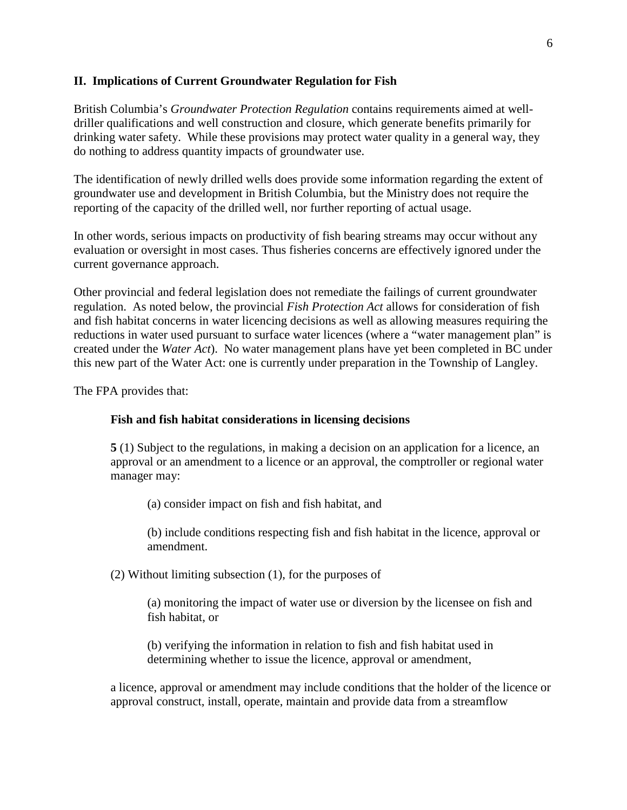### **II. Implications of Current Groundwater Regulation for Fish**

British Columbia's *Groundwater Protection Regulation* contains requirements aimed at welldriller qualifications and well construction and closure, which generate benefits primarily for drinking water safety. While these provisions may protect water quality in a general way, they do nothing to address quantity impacts of groundwater use.

The identification of newly drilled wells does provide some information regarding the extent of groundwater use and development in British Columbia, but the Ministry does not require the reporting of the capacity of the drilled well, nor further reporting of actual usage.

In other words, serious impacts on productivity of fish bearing streams may occur without any evaluation or oversight in most cases. Thus fisheries concerns are effectively ignored under the current governance approach.

Other provincial and federal legislation does not remediate the failings of current groundwater regulation. As noted below, the provincial *Fish Protection Act* allows for consideration of fish and fish habitat concerns in water licencing decisions as well as allowing measures requiring the reductions in water used pursuant to surface water licences (where a "water management plan" is created under the *Water Act*). No water management plans have yet been completed in BC under this new part of the Water Act: one is currently under preparation in the Township of Langley.

The FPA provides that:

### **Fish and fish habitat considerations in licensing decisions**

**5** (1) Subject to the regulations, in making a decision on an application for a licence, an approval or an amendment to a licence or an approval, the comptroller or regional water manager may:

(a) consider impact on fish and fish habitat, and

(b) include conditions respecting fish and fish habitat in the licence, approval or amendment.

(2) Without limiting subsection (1), for the purposes of

(a) monitoring the impact of water use or diversion by the licensee on fish and fish habitat, or

(b) verifying the information in relation to fish and fish habitat used in determining whether to issue the licence, approval or amendment,

a licence, approval or amendment may include conditions that the holder of the licence or approval construct, install, operate, maintain and provide data from a streamflow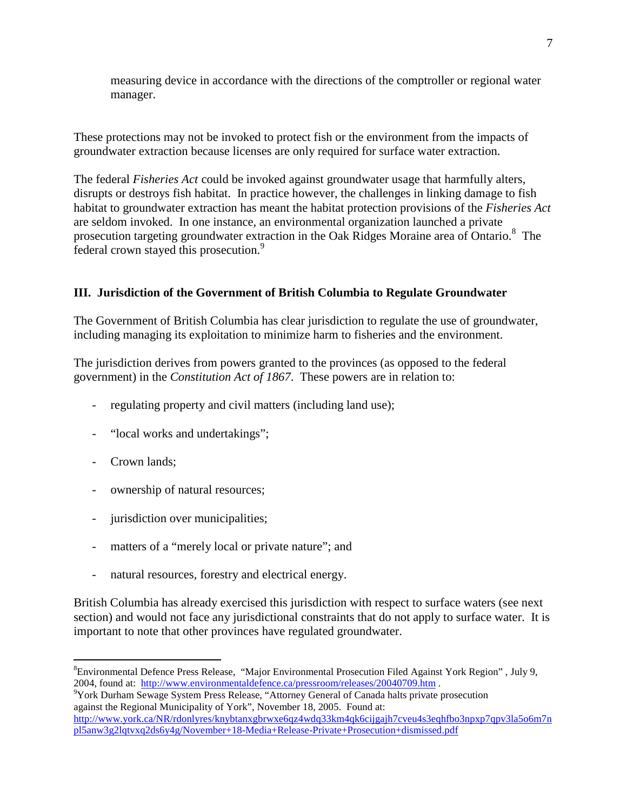measuring device in accordance with the directions of the comptroller or regional water manager.

These protections may not be invoked to protect fish or the environment from the impacts of groundwater extraction because licenses are only required for surface water extraction.

The federal *Fisheries Act* could be invoked against groundwater usage that harmfully alters, disrupts or destroys fish habitat. In practice however, the challenges in linking damage to fish habitat to groundwater extraction has meant the habitat protection provisions of the *Fisheries Act* are seldom invoked. In one instance, an environmental organization launched a private prosecution targeting groundwater extraction in the Oak Ridges Moraine area of Ontario.<sup>8</sup> The federal crown stayed this prosecution.<sup>9</sup>

# **III. Jurisdiction of the Government of British Columbia to Regulate Groundwater**

The Government of British Columbia has clear jurisdiction to regulate the use of groundwater, including managing its exploitation to minimize harm to fisheries and the environment.

The jurisdiction derives from powers granted to the provinces (as opposed to the federal government) in the *Constitution Act of 1867*. These powers are in relation to:

- regulating property and civil matters (including land use);
- "local works and undertakings";
- Crown lands;

-

- ownership of natural resources;
- jurisdiction over municipalities;
- matters of a "merely local or private nature"; and
- natural resources, forestry and electrical energy.

British Columbia has already exercised this jurisdiction with respect to surface waters (see next section) and would not face any jurisdictional constraints that do not apply to surface water. It is important to note that other provinces have regulated groundwater.

<sup>9</sup>York Durham Sewage System Press Release, "Attorney General of Canada halts private prosecution against the Regional Municipality of York", November 18, 2005. Found at: http://www.york.ca/NR/rdonlyres/knybtanxgbrwxe6qz4wdq33km4qk6cijgajh7cveu4s3eqhfbo3npxp7qpv3la5o6m7n pl5anw3g2lqtvxq2ds6y4g/November+18-Media+Release-Private+Prosecution+dismissed.pdf

<sup>8</sup>Environmental Defence Press Release, "Major Environmental Prosecution Filed Against York Region" , July 9, 2004, found at: http://www.environmentaldefence.ca/pressroom/releases/20040709.htm .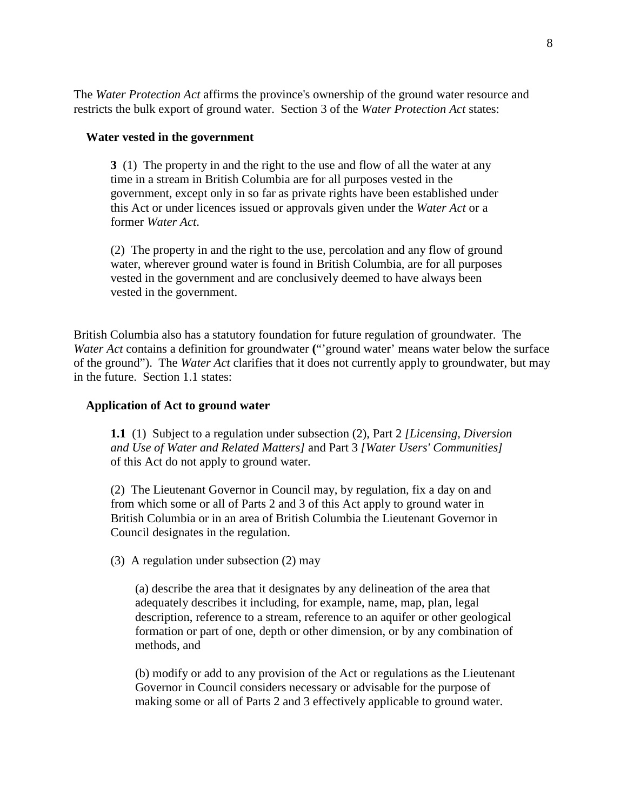The *Water Protection Act* affirms the province's ownership of the ground water resource and restricts the bulk export of ground water. Section 3 of the *Water Protection Act* states:

#### **Water vested in the government**

**3** (1) The property in and the right to the use and flow of all the water at any time in a stream in British Columbia are for all purposes vested in the government, except only in so far as private rights have been established under this Act or under licences issued or approvals given under the *Water Act* or a former *Water Act*.

(2) The property in and the right to the use, percolation and any flow of ground water, wherever ground water is found in British Columbia, are for all purposes vested in the government and are conclusively deemed to have always been vested in the government.

British Columbia also has a statutory foundation for future regulation of groundwater. The *Water Act* contains a definition for groundwater **(**"'ground water' means water below the surface of the ground"). The *Water Act* clarifies that it does not currently apply to groundwater, but may in the future. Section 1.1 states:

#### **Application of Act to ground water**

**1.1** (1) Subject to a regulation under subsection (2), Part 2 *[Licensing, Diversion and Use of Water and Related Matters]* and Part 3 *[Water Users' Communities]* of this Act do not apply to ground water.

(2) The Lieutenant Governor in Council may, by regulation, fix a day on and from which some or all of Parts 2 and 3 of this Act apply to ground water in British Columbia or in an area of British Columbia the Lieutenant Governor in Council designates in the regulation.

(3) A regulation under subsection (2) may

(a) describe the area that it designates by any delineation of the area that adequately describes it including, for example, name, map, plan, legal description, reference to a stream, reference to an aquifer or other geological formation or part of one, depth or other dimension, or by any combination of methods, and

(b) modify or add to any provision of the Act or regulations as the Lieutenant Governor in Council considers necessary or advisable for the purpose of making some or all of Parts 2 and 3 effectively applicable to ground water.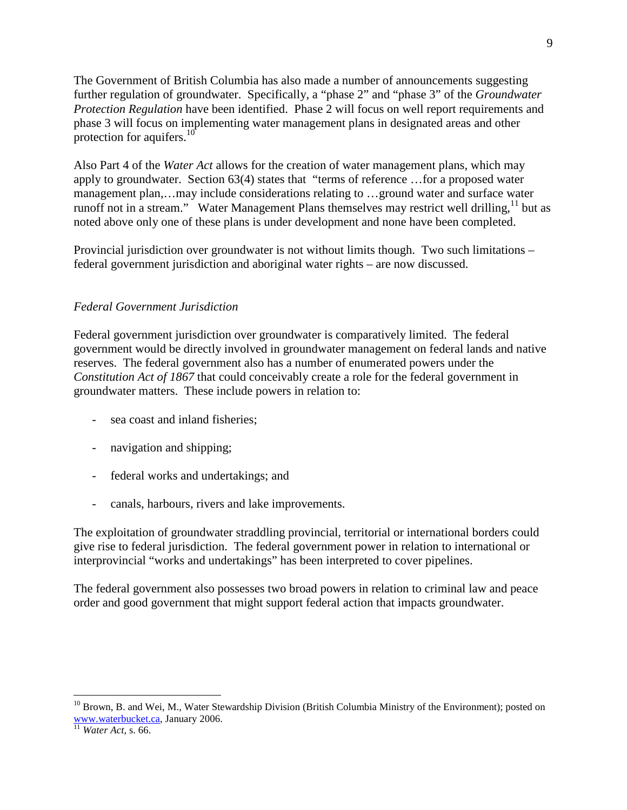The Government of British Columbia has also made a number of announcements suggesting further regulation of groundwater. Specifically, a "phase 2" and "phase 3" of the *Groundwater Protection Regulation* have been identified. Phase 2 will focus on well report requirements and phase 3 will focus on implementing water management plans in designated areas and other protection for aquifers.<sup>10</sup>

Also Part 4 of the *Water Act* allows for the creation of water management plans, which may apply to groundwater. Section 63(4) states that "terms of reference …for a proposed water management plan,…may include considerations relating to …ground water and surface water runoff not in a stream." Water Management Plans themselves may restrict well drilling,  $11$  but as noted above only one of these plans is under development and none have been completed.

Provincial jurisdiction over groundwater is not without limits though. Two such limitations – federal government jurisdiction and aboriginal water rights – are now discussed.

### *Federal Government Jurisdiction*

Federal government jurisdiction over groundwater is comparatively limited. The federal government would be directly involved in groundwater management on federal lands and native reserves. The federal government also has a number of enumerated powers under the *Constitution Act of 1867* that could conceivably create a role for the federal government in groundwater matters. These include powers in relation to:

- sea coast and inland fisheries;
- navigation and shipping;
- federal works and undertakings; and
- canals, harbours, rivers and lake improvements.

The exploitation of groundwater straddling provincial, territorial or international borders could give rise to federal jurisdiction. The federal government power in relation to international or interprovincial "works and undertakings" has been interpreted to cover pipelines.

The federal government also possesses two broad powers in relation to criminal law and peace order and good government that might support federal action that impacts groundwater.

 $\overline{a}$ 

<sup>&</sup>lt;sup>10</sup> Brown, B. and Wei, M., Water Stewardship Division (British Columbia Ministry of the Environment); posted on www.waterbucket.ca, January 2006.

<sup>11</sup> *Water Act,* s. 66.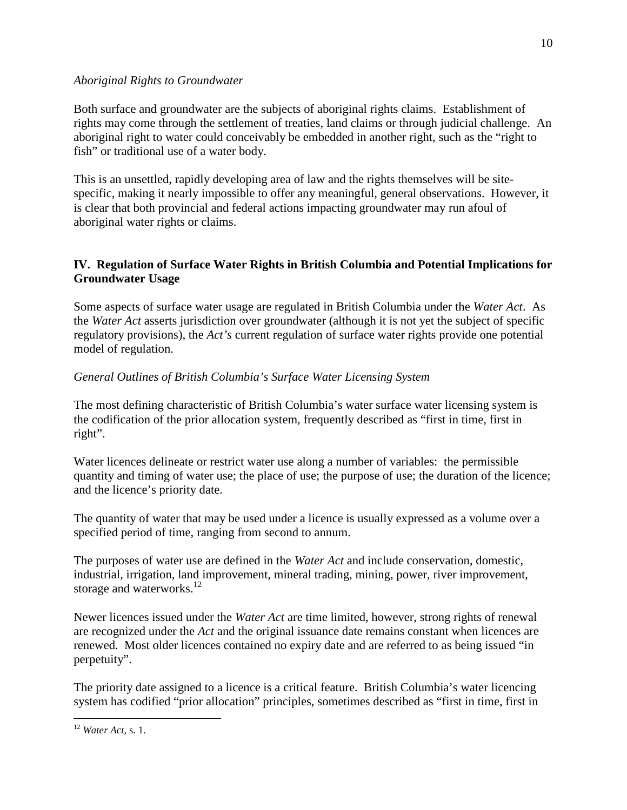### *Aboriginal Rights to Groundwater*

Both surface and groundwater are the subjects of aboriginal rights claims. Establishment of rights may come through the settlement of treaties, land claims or through judicial challenge. An aboriginal right to water could conceivably be embedded in another right, such as the "right to fish" or traditional use of a water body.

This is an unsettled, rapidly developing area of law and the rights themselves will be sitespecific, making it nearly impossible to offer any meaningful, general observations. However, it is clear that both provincial and federal actions impacting groundwater may run afoul of aboriginal water rights or claims.

# **IV. Regulation of Surface Water Rights in British Columbia and Potential Implications for Groundwater Usage**

Some aspects of surface water usage are regulated in British Columbia under the *Water Act*. As the *Water Act* asserts jurisdiction over groundwater (although it is not yet the subject of specific regulatory provisions), the *Act's* current regulation of surface water rights provide one potential model of regulation.

# *General Outlines of British Columbia's Surface Water Licensing System*

The most defining characteristic of British Columbia's water surface water licensing system is the codification of the prior allocation system, frequently described as "first in time, first in right".

Water licences delineate or restrict water use along a number of variables: the permissible quantity and timing of water use; the place of use; the purpose of use; the duration of the licence; and the licence's priority date.

The quantity of water that may be used under a licence is usually expressed as a volume over a specified period of time, ranging from second to annum.

The purposes of water use are defined in the *Water Act* and include conservation, domestic, industrial, irrigation, land improvement, mineral trading, mining, power, river improvement, storage and waterworks. $^{12}$ 

Newer licences issued under the *Water Act* are time limited, however, strong rights of renewal are recognized under the *Act* and the original issuance date remains constant when licences are renewed. Most older licences contained no expiry date and are referred to as being issued "in perpetuity".

The priority date assigned to a licence is a critical feature. British Columbia's water licencing system has codified "prior allocation" principles, sometimes described as "first in time, first in

<sup>&</sup>lt;u>.</u> <sup>12</sup> *Water Act,* s. 1.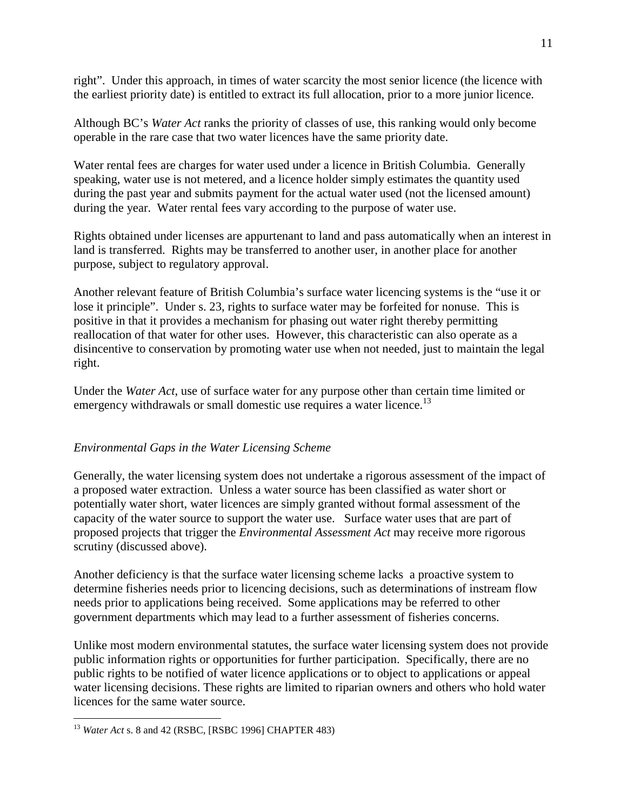right". Under this approach, in times of water scarcity the most senior licence (the licence with the earliest priority date) is entitled to extract its full allocation, prior to a more junior licence.

Although BC's *Water Act* ranks the priority of classes of use, this ranking would only become operable in the rare case that two water licences have the same priority date.

Water rental fees are charges for water used under a licence in British Columbia. Generally speaking, water use is not metered, and a licence holder simply estimates the quantity used during the past year and submits payment for the actual water used (not the licensed amount) during the year. Water rental fees vary according to the purpose of water use.

Rights obtained under licenses are appurtenant to land and pass automatically when an interest in land is transferred. Rights may be transferred to another user, in another place for another purpose, subject to regulatory approval.

Another relevant feature of British Columbia's surface water licencing systems is the "use it or lose it principle". Under s. 23, rights to surface water may be forfeited for nonuse. This is positive in that it provides a mechanism for phasing out water right thereby permitting reallocation of that water for other uses. However, this characteristic can also operate as a disincentive to conservation by promoting water use when not needed, just to maintain the legal right.

Under the *Water Act*, use of surface water for any purpose other than certain time limited or emergency withdrawals or small domestic use requires a water licence.<sup>13</sup>

## *Environmental Gaps in the Water Licensing Scheme*

Generally, the water licensing system does not undertake a rigorous assessment of the impact of a proposed water extraction. Unless a water source has been classified as water short or potentially water short, water licences are simply granted without formal assessment of the capacity of the water source to support the water use. Surface water uses that are part of proposed projects that trigger the *Environmental Assessment Act* may receive more rigorous scrutiny (discussed above).

Another deficiency is that the surface water licensing scheme lacks a proactive system to determine fisheries needs prior to licencing decisions, such as determinations of instream flow needs prior to applications being received. Some applications may be referred to other government departments which may lead to a further assessment of fisheries concerns.

Unlike most modern environmental statutes, the surface water licensing system does not provide public information rights or opportunities for further participation. Specifically, there are no public rights to be notified of water licence applications or to object to applications or appeal water licensing decisions. These rights are limited to riparian owners and others who hold water licences for the same water source.

 $\overline{a}$ 

<sup>13</sup> *Water Act* s. 8 and 42 (RSBC, [RSBC 1996] CHAPTER 483)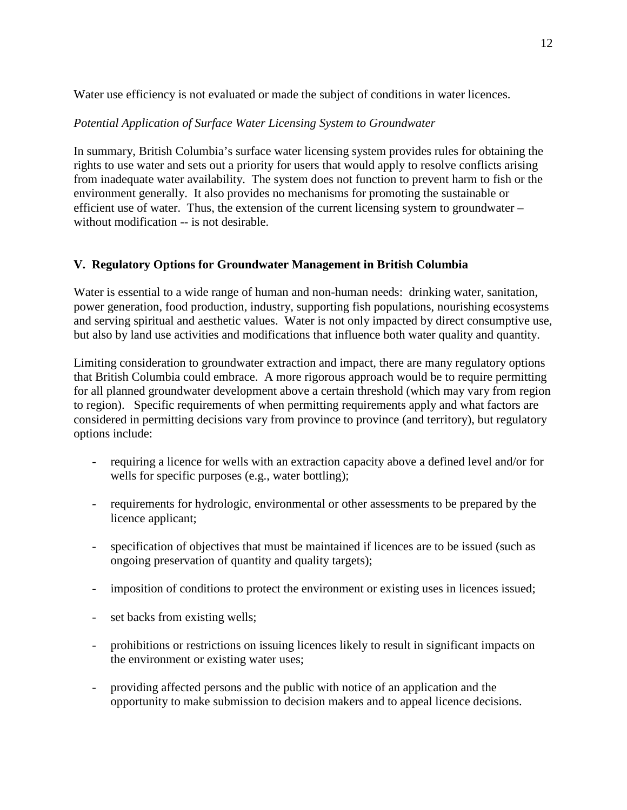Water use efficiency is not evaluated or made the subject of conditions in water licences.

## *Potential Application of Surface Water Licensing System to Groundwater*

In summary, British Columbia's surface water licensing system provides rules for obtaining the rights to use water and sets out a priority for users that would apply to resolve conflicts arising from inadequate water availability. The system does not function to prevent harm to fish or the environment generally. It also provides no mechanisms for promoting the sustainable or efficient use of water. Thus, the extension of the current licensing system to groundwater – without modification -- is not desirable.

# **V. Regulatory Options for Groundwater Management in British Columbia**

Water is essential to a wide range of human and non-human needs: drinking water, sanitation, power generation, food production, industry, supporting fish populations, nourishing ecosystems and serving spiritual and aesthetic values. Water is not only impacted by direct consumptive use, but also by land use activities and modifications that influence both water quality and quantity.

Limiting consideration to groundwater extraction and impact, there are many regulatory options that British Columbia could embrace. A more rigorous approach would be to require permitting for all planned groundwater development above a certain threshold (which may vary from region to region). Specific requirements of when permitting requirements apply and what factors are considered in permitting decisions vary from province to province (and territory), but regulatory options include:

- requiring a licence for wells with an extraction capacity above a defined level and/or for wells for specific purposes (e.g., water bottling);
- requirements for hydrologic, environmental or other assessments to be prepared by the licence applicant;
- specification of objectives that must be maintained if licences are to be issued (such as ongoing preservation of quantity and quality targets);
- imposition of conditions to protect the environment or existing uses in licences issued;
- set backs from existing wells;
- prohibitions or restrictions on issuing licences likely to result in significant impacts on the environment or existing water uses;
- providing affected persons and the public with notice of an application and the opportunity to make submission to decision makers and to appeal licence decisions.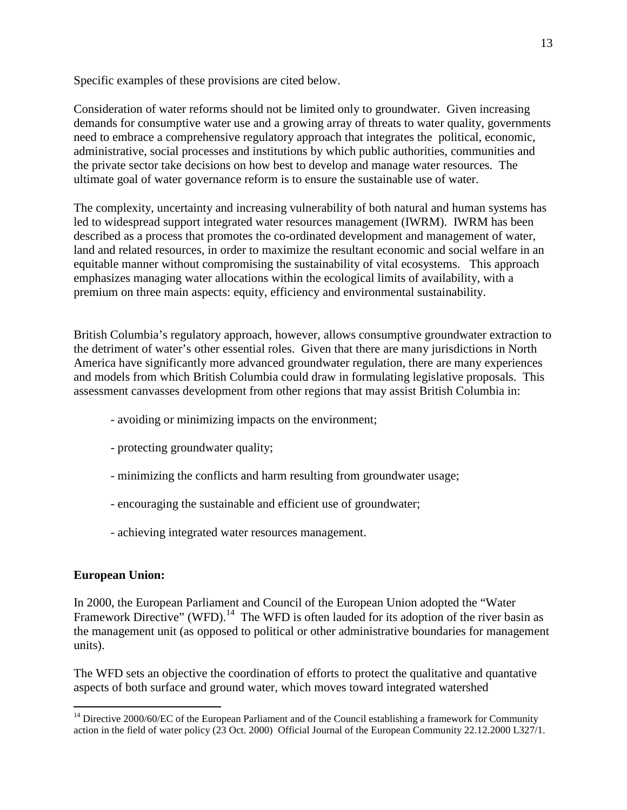Specific examples of these provisions are cited below.

Consideration of water reforms should not be limited only to groundwater. Given increasing demands for consumptive water use and a growing array of threats to water quality, governments need to embrace a comprehensive regulatory approach that integrates the political, economic, administrative, social processes and institutions by which public authorities, communities and the private sector take decisions on how best to develop and manage water resources. The ultimate goal of water governance reform is to ensure the sustainable use of water.

The complexity, uncertainty and increasing vulnerability of both natural and human systems has led to widespread support integrated water resources management (IWRM). IWRM has been described as a process that promotes the co-ordinated development and management of water, land and related resources, in order to maximize the resultant economic and social welfare in an equitable manner without compromising the sustainability of vital ecosystems. This approach emphasizes managing water allocations within the ecological limits of availability, with a premium on three main aspects: equity, efficiency and environmental sustainability.

British Columbia's regulatory approach, however, allows consumptive groundwater extraction to the detriment of water's other essential roles. Given that there are many jurisdictions in North America have significantly more advanced groundwater regulation, there are many experiences and models from which British Columbia could draw in formulating legislative proposals. This assessment canvasses development from other regions that may assist British Columbia in:

- avoiding or minimizing impacts on the environment;
- protecting groundwater quality;
- minimizing the conflicts and harm resulting from groundwater usage;
- encouraging the sustainable and efficient use of groundwater;
- achieving integrated water resources management.

# **European Union:**

In 2000, the European Parliament and Council of the European Union adopted the "Water Framework Directive" (WFD).<sup>14</sup> The WFD is often lauded for its adoption of the river basin as the management unit (as opposed to political or other administrative boundaries for management units).

The WFD sets an objective the coordination of efforts to protect the qualitative and quantative aspects of both surface and ground water, which moves toward integrated watershed

<sup>&</sup>lt;u>.</u>  $14$  Directive 2000/60/EC of the European Parliament and of the Council establishing a framework for Community action in the field of water policy (23 Oct. 2000) Official Journal of the European Community 22.12.2000 L327/1.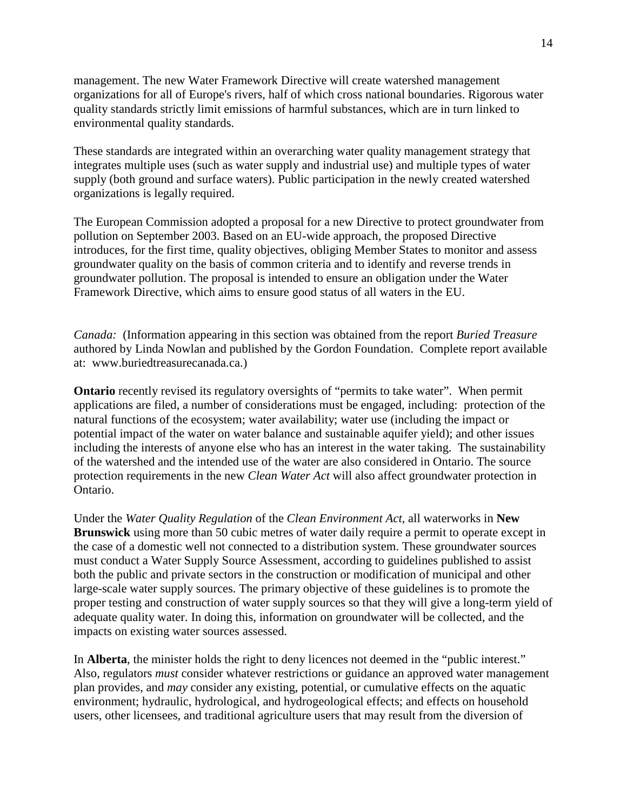management. The new Water Framework Directive will create watershed management organizations for all of Europe's rivers, half of which cross national boundaries. Rigorous water quality standards strictly limit emissions of harmful substances, which are in turn linked to environmental quality standards.

These standards are integrated within an overarching water quality management strategy that integrates multiple uses (such as water supply and industrial use) and multiple types of water supply (both ground and surface waters). Public participation in the newly created watershed organizations is legally required.

The European Commission adopted a proposal for a new Directive to protect groundwater from pollution on September 2003. Based on an EU-wide approach, the proposed Directive introduces, for the first time, quality objectives, obliging Member States to monitor and assess groundwater quality on the basis of common criteria and to identify and reverse trends in groundwater pollution. The proposal is intended to ensure an obligation under the Water Framework Directive, which aims to ensure good status of all waters in the EU.

*Canada:* (Information appearing in this section was obtained from the report *Buried Treasure* authored by Linda Nowlan and published by the Gordon Foundation. Complete report available at: www.buriedtreasurecanada.ca.)

**Ontario** recently revised its regulatory oversights of "permits to take water". When permit applications are filed, a number of considerations must be engaged, including: protection of the natural functions of the ecosystem; water availability; water use (including the impact or potential impact of the water on water balance and sustainable aquifer yield); and other issues including the interests of anyone else who has an interest in the water taking. The sustainability of the watershed and the intended use of the water are also considered in Ontario. The source protection requirements in the new *Clean Water Act* will also affect groundwater protection in Ontario.

Under the *Water Quality Regulation* of the *Clean Environment Act*, all waterworks in **New Brunswick** using more than 50 cubic metres of water daily require a permit to operate except in the case of a domestic well not connected to a distribution system. These groundwater sources must conduct a Water Supply Source Assessment, according to guidelines published to assist both the public and private sectors in the construction or modification of municipal and other large-scale water supply sources. The primary objective of these guidelines is to promote the proper testing and construction of water supply sources so that they will give a long-term yield of adequate quality water. In doing this, information on groundwater will be collected, and the impacts on existing water sources assessed.

In **Alberta**, the minister holds the right to deny licences not deemed in the "public interest." Also, regulators *must* consider whatever restrictions or guidance an approved water management plan provides, and *may* consider any existing, potential, or cumulative effects on the aquatic environment; hydraulic, hydrological, and hydrogeological effects; and effects on household users, other licensees, and traditional agriculture users that may result from the diversion of